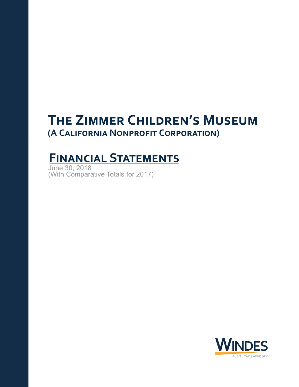# **THE ZIMMER CHILDREN'S MUSEUM** (A CALIFORNIA NONPROFIT CORPORATION)

# **FINANCIAL STATEMENTS**

June30,2018 (With Comparative Totals for 2017)

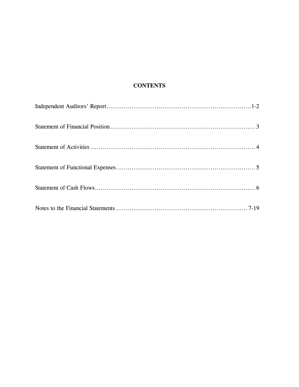# **CONTENTS**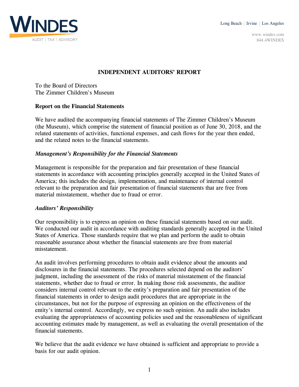Long Beach | Irvine | Los Angeles



www.windes.com 844.4WINDES

# **INDEPENDENT AUDITORS' REPORT**

To the Board of Directors The Zimmer Children's Museum

# **Report on the Financial Statements**

We have audited the accompanying financial statements of The Zimmer Children's Museum (the Museum), which comprise the statement of financial position as of June 30, 2018, and the related statements of activities, functional expenses, and cash flows for the year then ended, and the related notes to the financial statements.

# *Management's Responsibility for the Financial Statements*

Management is responsible for the preparation and fair presentation of these financial statements in accordance with accounting principles generally accepted in the United States of America; this includes the design, implementation, and maintenance of internal control relevant to the preparation and fair presentation of financial statements that are free from material misstatement, whether due to fraud or error.

#### *Auditors' Responsibility*

Our responsibility is to express an opinion on these financial statements based on our audit. We conducted our audit in accordance with auditing standards generally accepted in the United States of America. Those standards require that we plan and perform the audit to obtain reasonable assurance about whether the financial statements are free from material misstatement.

An audit involves performing procedures to obtain audit evidence about the amounts and disclosures in the financial statements. The procedures selected depend on the auditors' judgment, including the assessment of the risks of material misstatement of the financial statements, whether due to fraud or error. In making those risk assessments, the auditor considers internal control relevant to the entity's preparation and fair presentation of the financial statements in order to design audit procedures that are appropriate in the circumstances, but not for the purpose of expressing an opinion on the effectiveness of the entity's internal control. Accordingly, we express no such opinion. An audit also includes evaluating the appropriateness of accounting policies used and the reasonableness of significant accounting estimates made by management, as well as evaluating the overall presentation of the financial statements.

We believe that the audit evidence we have obtained is sufficient and appropriate to provide a basis for our audit opinion.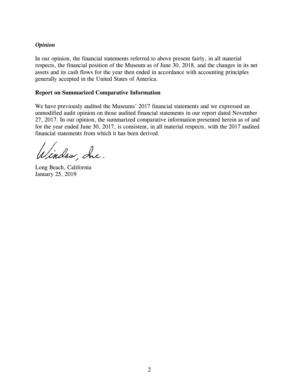# *Opinion*

In our opinion, the financial statements referred to above present fairly, in all material respects, the financial position of the Museum as of June 30, 2018, and the changes in its net assets and its cash flows for the year then ended in accordance with accounting principles generally accepted in the United States of America.

#### **Report on Summarized Comparative Information**

We have previously audited the Museums' 2017 financial statements and we expressed an unmodified audit opinion on those audited financial statements in our report dated November 27, 2017. In our opinion, the summarized comparative information presented herein as of and for the year ended June 30, 2017, is consistent, in all material respects, with the 2017 audited financial statements from which it has been derived.

lindes, Inc.

Long Beach, California January 25, 2019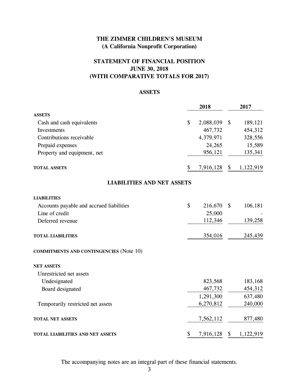# **STATEMENT OF FINANCIAL POSITION JUNE 30, 2018 (WITH COMPARATIVE TOTALS FOR 2017)**

# **ASSETS**

|                                                | 2018               | 2017            |
|------------------------------------------------|--------------------|-----------------|
| <b>ASSETS</b>                                  |                    |                 |
| Cash and cash equivalents                      | \$<br>2,088,039    | \$<br>189,121   |
| Investments                                    | 467,732            | 454,312         |
| Contributions receivable                       | 4,379,971          | 328,556         |
| Prepaid expenses                               | 24,265             | 15,589          |
| Property and equipment, net                    | 956,121            | 135,341         |
| <b>TOTAL ASSETS</b>                            | \$<br>7,916,128 \$ | 1,122,919       |
| <b>LIABILITIES AND NET ASSETS</b>              |                    |                 |
| <b>LIABILITIES</b>                             |                    |                 |
| Accounts payable and accrued liabilities       | \$<br>216,670      | \$<br>106,181   |
| Line of credit                                 | 25,000             |                 |
| Deferred revenue                               | 112,346            | 139,258         |
| <b>TOTAL LIABILITIES</b>                       | 354,016            | 245,439         |
| <b>COMMITMENTS AND CONTINGENCIES (Note 10)</b> |                    |                 |
| <b>NET ASSETS</b>                              |                    |                 |
| Unrestricted net assets                        |                    |                 |
| Undesignated                                   | 823,568            | 183,168         |
| Board designated                               | 467,732            | 454,312         |
|                                                | 1,291,300          | 637,480         |
| Temporarily restricted net assets              | 6,270,812          | 240,000         |
| <b>TOTAL NET ASSETS</b>                        | 7,562,112          | 877,480         |
| TOTAL LIABILITIES AND NET ASSETS               | \$<br>7,916,128    | \$<br>1,122,919 |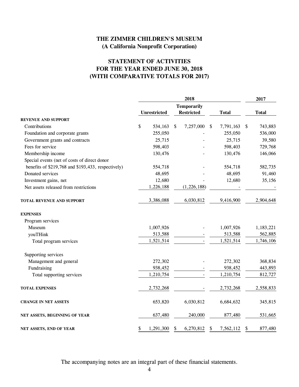# **STATEMENT OF ACTIVITIES FOR THE YEAR ENDED JUNE 30, 2018 (WITH COMPARATIVE TOTALS FOR 2017)**

|                                                    | 2018 |                     |    |                    |                           |              | 2017                      |              |
|----------------------------------------------------|------|---------------------|----|--------------------|---------------------------|--------------|---------------------------|--------------|
|                                                    |      |                     |    | <b>Temporarily</b> |                           |              |                           |              |
|                                                    |      | <b>Unrestricted</b> |    | <b>Restricted</b>  |                           | <b>Total</b> |                           | <b>Total</b> |
| <b>REVENUE AND SUPPORT</b>                         |      |                     |    |                    |                           |              |                           |              |
| Contributions                                      | \$   | 534,163             | \$ | 7,257,000          | $\boldsymbol{\mathsf{S}}$ | 7,791,163    | $\boldsymbol{\mathsf{S}}$ | 743,883      |
| Foundation and corporate grants                    |      | 255,050             |    |                    |                           | 255,050      |                           | 536,000      |
| Government grants and contracts                    |      | 25,715              |    |                    |                           | 25,715       |                           | 39,580       |
| Fees for service                                   |      | 598,403             |    |                    |                           | 598,403      |                           | 729,768      |
| Membership income                                  |      | 130,476             |    |                    |                           | 130,476      |                           | 146,066      |
| Special events (net of costs of direct donor       |      |                     |    |                    |                           |              |                           |              |
| benefits of \$219,768 and \$193,433, respectively) |      | 554,718             |    |                    |                           | 554,718      |                           | 582,735      |
| Donated services                                   |      | 48,695              |    |                    |                           | 48,695       |                           | 91,460       |
| Investment gains, net                              |      | 12,680              |    |                    |                           | 12,680       |                           | 35,156       |
| Net assets released from restrictions              |      | 1,226,188           |    | (1,226,188)        |                           |              |                           |              |
| <b>TOTAL REVENUE AND SUPPORT</b>                   |      | 3,386,088           |    | 6,030,812          |                           | 9,416,900    |                           | 2,904,648    |
| <b>EXPENSES</b>                                    |      |                     |    |                    |                           |              |                           |              |
| Program services                                   |      |                     |    |                    |                           |              |                           |              |
| Museum                                             |      | 1,007,926           |    |                    |                           | 1,007,926    |                           | 1,183,221    |
| youTHink                                           |      | 513,588             |    |                    |                           | 513,588      |                           | 562,885      |
| Total program services                             |      | 1,521,514           |    |                    |                           | 1,521,514    |                           | 1,746,106    |
| Supporting services                                |      |                     |    |                    |                           |              |                           |              |
| Management and general                             |      | 272,302             |    |                    |                           | 272,302      |                           | 368,834      |
| Fundraising                                        |      | 938,452             |    |                    |                           | 938,452      |                           | 443,893      |
| Total supporting services                          |      | 1,210,754           |    |                    |                           | 1,210,754    |                           | 812,727      |
| <b>TOTAL EXPENSES</b>                              |      | 2,732,268           |    |                    |                           | 2,732,268    |                           | 2,558,833    |
| <b>CHANGE IN NET ASSETS</b>                        |      | 653,820             |    | 6,030,812          |                           | 6,684,632    |                           | 345,815      |
| NET ASSETS, BEGINNING OF YEAR                      |      | 637,480             |    | 240,000            |                           | 877,480      |                           | 531,665      |
| NET ASSETS, END OF YEAR                            | \$   | 1,291,300           | \$ | 6,270,812          | \$                        | 7,562,112    | $\boldsymbol{\mathsf{S}}$ | 877,480      |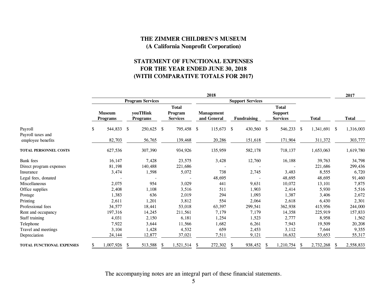# **STATEMENT OF FUNCTIONAL EXPENSES FOR THE YEAR ENDED JUNE 30, 2018 (WITH COMPARATIVE TOTALS FOR 2017)**

|                                  | 2018                    |                                  |          |                                    |                         |                                                   |    |                                  |    | 2017               |               |                                                   |    |              |              |              |
|----------------------------------|-------------------------|----------------------------------|----------|------------------------------------|-------------------------|---------------------------------------------------|----|----------------------------------|----|--------------------|---------------|---------------------------------------------------|----|--------------|--------------|--------------|
|                                  | <b>Program Services</b> |                                  |          |                                    | <b>Support Services</b> |                                                   |    |                                  |    |                    |               |                                                   |    |              |              |              |
|                                  |                         | <b>Museum</b><br><b>Programs</b> |          | <b>youTHink</b><br><b>Programs</b> |                         | <b>Total</b><br><b>Program</b><br><b>Services</b> |    | <b>Management</b><br>and General |    | <b>Fundraising</b> |               | <b>Total</b><br><b>Support</b><br><b>Services</b> |    | <b>Total</b> |              | <b>Total</b> |
| Payroll                          | \$                      | 544,833                          | \$       | 250,625 \$                         |                         | 795,458                                           | \$ | 115,673 \$                       |    | 430,560            | <sup>\$</sup> | 546,233 \$                                        |    | 1,341,691 \$ |              | 1,316,003    |
| Payroll taxes and                |                         |                                  |          |                                    |                         |                                                   |    |                                  |    |                    |               |                                                   |    |              |              |              |
| employee benefits                |                         | 82,703                           |          | 56,765                             |                         | 139,468                                           |    | 20,286                           |    | 151,618            |               | 171,904                                           |    | 311,372      |              | 303,777      |
| TOTAL PERSONNEL COSTS            |                         | 627,536                          |          | 307,390                            |                         | 934,926                                           |    | 135,959                          |    | 582,178            |               | 718,137                                           |    | 1,653,063    |              | 1,619,780    |
| <b>Bank</b> fees                 |                         | 16,147                           |          | 7,428                              |                         | 23,575                                            |    | 3,428                            |    | 12,760             |               | 16,188                                            |    | 39,763       |              | 34,798       |
| Direct program expenses          |                         | 81,198                           |          | 140,488                            |                         | 221,686                                           |    |                                  |    |                    |               |                                                   |    | 221,686      |              | 299,436      |
| Insurance                        |                         | 3,474                            |          | 1,598                              |                         | 5,072                                             |    | 738                              |    | 2,745              |               | 3,483                                             |    | 8,555        |              | 6,720        |
| Legal fees, donated              |                         |                                  |          |                                    |                         |                                                   |    | 48,695                           |    |                    |               | 48,695                                            |    | 48,695       |              | 91,460       |
| Miscellaneous                    |                         | 2,075                            |          | 954                                |                         | 3,029                                             |    | 441                              |    | 9,631              |               | 10,072                                            |    | 13,101       |              | 7,875        |
| Office supplies                  |                         | 2,408                            |          | 1,108                              |                         | 3,516                                             |    | 511                              |    | 1,903              |               | 2,414                                             |    | 5,930        |              | 5,516        |
| Postage                          |                         | 1,383                            |          | 636                                |                         | 2,019                                             |    | 294                              |    | 1,093              |               | 1,387                                             |    | 3,406        |              | 2,672        |
| Printing                         |                         | 2,611                            |          | 1,201                              |                         | 3,812                                             |    | 554                              |    | 2,064              |               | 2,618                                             |    | 6,430        |              | 2,301        |
| Professional fees                |                         | 34,577                           |          | 18,441                             |                         | 53,018                                            |    | 63,397                           |    | 299,541            |               | 362,938                                           |    | 415,956      |              | 244,000      |
| Rent and occupancy               |                         | 197,316                          |          | 14,245                             |                         | 211,561                                           |    | 7,179                            |    | 7,179              |               | 14,358                                            |    | 225,919      |              | 157,833      |
| Staff training                   |                         | 4,031                            |          | 2,150                              |                         | 6,181                                             |    | 1,254                            |    | 1,523              |               | 2,777                                             |    | 8,958        |              | 1,562        |
| Telephone                        |                         | 7,922                            |          | 3,644                              |                         | 11,566                                            |    | 1,682                            |    | 6,261              |               | 7,943                                             |    | 19,509       |              | 20,208       |
| Travel and meetings              |                         | 3,104                            |          | 1,428                              |                         | 4,532                                             |    | 659                              |    | 2,453              |               | 3,112                                             |    | 7,644        |              | 9,355        |
| Depreciation                     |                         | 24,144                           |          | 12,877                             |                         | 37,021                                            |    | 7,511                            |    | 9,121              |               | 16,632                                            |    | 53,653       |              | 55,317       |
| <b>TOTAL FUNCTIONAL EXPENSES</b> |                         | 1,007,926                        | <b>S</b> | 513,588                            | -S                      | 1,521,514                                         | -S | 272,302                          | -S | 938,452            | -S            | 1,210,754                                         | -S | 2,732,268    | <sup>S</sup> | 2,558,833    |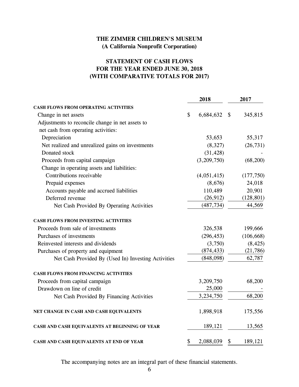# **STATEMENT OF CASH FLOWS FOR THE YEAR ENDED JUNE 30, 2018 (WITH COMPARATIVE TOTALS FOR 2017)**

|                                                     | 2018            |                           | 2017       |
|-----------------------------------------------------|-----------------|---------------------------|------------|
| <b>CASH FLOWS FROM OPERATING ACTIVITIES</b>         |                 |                           |            |
| Change in net assets                                | \$<br>6,684,632 | $\boldsymbol{\mathsf{S}}$ | 345,815    |
| Adjustments to reconcile change in net assets to    |                 |                           |            |
| net cash from operating activities:                 |                 |                           |            |
| Depreciation                                        | 53,653          |                           | 55,317     |
| Net realized and unrealized gains on investments    | (8,327)         |                           | (26, 731)  |
| Donated stock                                       | (31, 428)       |                           |            |
| Proceeds from capital campaign                      | (3,209,750)     |                           | (68,200)   |
| Change in operating assets and liabilities:         |                 |                           |            |
| Contributions receivable                            | (4,051,415)     |                           | (177, 750) |
| Prepaid expenses                                    | (8,676)         |                           | 24,018     |
| Accounts payable and accrued liabilities            | 110,489         |                           | 20,901     |
| Deferred revenue                                    | (26, 912)       |                           | (128, 801) |
| Net Cash Provided By Operating Activities           | (487, 734)      |                           | 44,569     |
| CASH FLOWS FROM INVESTING ACTIVITIES                |                 |                           |            |
| Proceeds from sale of investments                   | 326,538         |                           | 199,666    |
| Purchases of investments                            | (296, 453)      |                           | (106, 668) |
| Reinvested interests and dividends                  | (3,750)         |                           | (8, 425)   |
| Purchases of property and equipment                 | (874, 433)      |                           | (21, 786)  |
| Net Cash Provided By (Used In) Investing Activities | (848,098)       |                           | 62,787     |
| <b>CASH FLOWS FROM FINANCING ACTIVITIES</b>         |                 |                           |            |
| Proceeds from capital campaign                      | 3,209,750       |                           | 68,200     |
| Drawdown on line of credit                          | 25,000          |                           |            |
| Net Cash Provided By Financing Activities           | 3,234,750       |                           | 68,200     |
| NET CHANGE IN CASH AND CASH EQUIVALENTS             | 1,898,918       |                           | 175,556    |
| CASH AND CASH EQUIVALENTS AT BEGINNING OF YEAR      | 189,121         |                           | 13,565     |
| CASH AND CASH EQUIVALENTS AT END OF YEAR            | \$<br>2,088,039 | \$                        | 189,121    |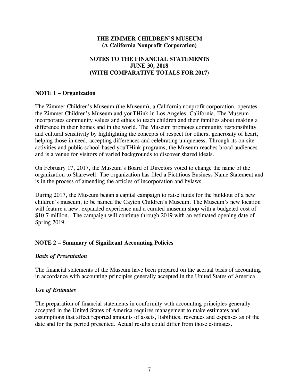# **NOTES TO THE FINANCIAL STATEMENTS JUNE 30, 2018 (WITH COMPARATIVE TOTALS FOR 2017)**

# **NOTE 1 – Organization**

The Zimmer Children's Museum (the Museum), a California nonprofit corporation, operates the Zimmer Children's Museum and youTHink in Los Angeles, California. The Museum incorporates community values and ethics to teach children and their families about making a difference in their homes and in the world. The Museum promotes community responsibility and cultural sensitivity by highlighting the concepts of respect for others, generosity of heart, helping those in need, accepting differences and celebrating uniqueness. Through its on-site activities and public school-based youTHink programs, the Museum reaches broad audiences and is a venue for visitors of varied backgrounds to discover shared ideals.

On February 17, 2017, the Museum's Board of Directors voted to change the name of the organization to Sharewell. The organization has filed a Fictitious Business Name Statement and is in the process of amending the articles of incorporation and bylaws.

During 2017, the Museum began a capital campaign to raise funds for the buildout of a new children's museum, to be named the Cayton Children's Museum. The Museum's new location will feature a new, expanded experience and a curated museum shop with a budgeted cost of \$10.7 million. The campaign will continue through 2019 with an estimated opening date of Spring 2019.

# **NOTE 2 – Summary of Significant Accounting Policies**

#### *Basis of Presentation*

The financial statements of the Museum have been prepared on the accrual basis of accounting in accordance with accounting principles generally accepted in the United States of America.

#### *Use of Estimates*

The preparation of financial statements in conformity with accounting principles generally accepted in the United States of America requires management to make estimates and assumptions that affect reported amounts of assets, liabilities, revenues and expenses as of the date and for the period presented. Actual results could differ from those estimates.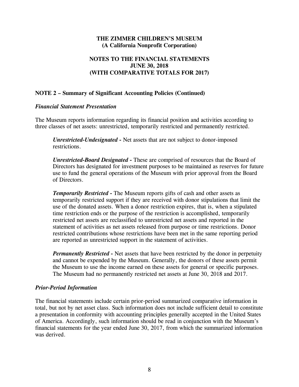# **NOTES TO THE FINANCIAL STATEMENTS JUNE 30, 2018 (WITH COMPARATIVE TOTALS FOR 2017)**

# **NOTE 2 – Summary of Significant Accounting Policies (Continued)**

#### *Financial Statement Presentation*

The Museum reports information regarding its financial position and activities according to three classes of net assets: unrestricted, temporarily restricted and permanently restricted.

*Unrestricted-Undesignated -* Net assets that are not subject to donor-imposed restrictions.

*Unrestricted-Board Designated -* These are comprised of resources that the Board of Directors has designated for investment purposes to be maintained as reserves for future use to fund the general operations of the Museum with prior approval from the Board of Directors.

*Temporarily Restricted -* The Museum reports gifts of cash and other assets as temporarily restricted support if they are received with donor stipulations that limit the use of the donated assets. When a donor restriction expires, that is, when a stipulated time restriction ends or the purpose of the restriction is accomplished, temporarily restricted net assets are reclassified to unrestricted net assets and reported in the statement of activities as net assets released from purpose or time restrictions. Donor restricted contributions whose restrictions have been met in the same reporting period are reported as unrestricted support in the statement of activities.

*Permanently Restricted -* Net assets that have been restricted by the donor in perpetuity and cannot be expended by the Museum. Generally, the donors of these assets permit the Museum to use the income earned on these assets for general or specific purposes. The Museum had no permanently restricted net assets at June 30, 2018 and 2017.

#### *Prior-Period Information*

The financial statements include certain prior-period summarized comparative information in total, but not by net asset class. Such information does not include sufficient detail to constitute a presentation in conformity with accounting principles generally accepted in the United States of America. Accordingly, such information should be read in conjunction with the Museum's financial statements for the year ended June 30, 2017, from which the summarized information was derived.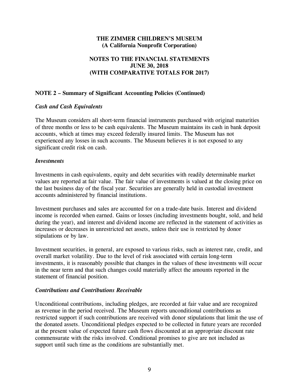# **NOTES TO THE FINANCIAL STATEMENTS JUNE 30, 2018 (WITH COMPARATIVE TOTALS FOR 2017)**

# **NOTE 2 – Summary of Significant Accounting Policies (Continued)**

# *Cash and Cash Equivalents*

The Museum considers all short-term financial instruments purchased with original maturities of three months or less to be cash equivalents. The Museum maintains its cash in bank deposit accounts, which at times may exceed federally insured limits. The Museum has not experienced any losses in such accounts. The Museum believes it is not exposed to any significant credit risk on cash.

#### *Investments*

Investments in cash equivalents, equity and debt securities with readily determinable market values are reported at fair value. The fair value of investments is valued at the closing price on the last business day of the fiscal year. Securities are generally held in custodial investment accounts administered by financial institutions.

Investment purchases and sales are accounted for on a trade-date basis. Interest and dividend income is recorded when earned. Gains or losses (including investments bought, sold, and held during the year), and interest and dividend income are reflected in the statement of activities as increases or decreases in unrestricted net assets, unless their use is restricted by donor stipulations or by law.

Investment securities, in general, are exposed to various risks, such as interest rate, credit, and overall market volatility. Due to the level of risk associated with certain long-term investments, it is reasonably possible that changes in the values of these investments will occur in the near term and that such changes could materially affect the amounts reported in the statement of financial position.

#### *Contributions and Contributions Receivable*

Unconditional contributions, including pledges, are recorded at fair value and are recognized as revenue in the period received. The Museum reports unconditional contributions as restricted support if such contributions are received with donor stipulations that limit the use of the donated assets. Unconditional pledges expected to be collected in future years are recorded at the present value of expected future cash flows discounted at an appropriate discount rate commensurate with the risks involved. Conditional promises to give are not included as support until such time as the conditions are substantially met.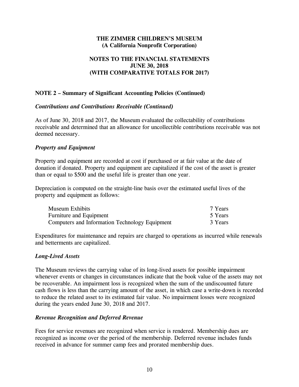# **NOTES TO THE FINANCIAL STATEMENTS JUNE 30, 2018 (WITH COMPARATIVE TOTALS FOR 2017)**

# **NOTE 2 – Summary of Significant Accounting Policies (Continued)**

#### *Contributions and Contributions Receivable (Continued)*

As of June 30, 2018 and 2017, the Museum evaluated the collectability of contributions receivable and determined that an allowance for uncollectible contributions receivable was not deemed necessary.

#### *Property and Equipment*

Property and equipment are recorded at cost if purchased or at fair value at the date of donation if donated. Property and equipment are capitalized if the cost of the asset is greater than or equal to \$500 and the useful life is greater than one year.

Depreciation is computed on the straight-line basis over the estimated useful lives of the property and equipment as follows:

| Museum Exhibits                                | 7 Years |
|------------------------------------------------|---------|
| <b>Furniture and Equipment</b>                 | 5 Years |
| Computers and Information Technology Equipment | 3 Years |

Expenditures for maintenance and repairs are charged to operations as incurred while renewals and betterments are capitalized.

#### *Long-Lived Assets*

The Museum reviews the carrying value of its long-lived assets for possible impairment whenever events or changes in circumstances indicate that the book value of the assets may not be recoverable. An impairment loss is recognized when the sum of the undiscounted future cash flows is less than the carrying amount of the asset, in which case a write-down is recorded to reduce the related asset to its estimated fair value. No impairment losses were recognized during the years ended June 30, 2018 and 2017.

#### *Revenue Recognition and Deferred Revenue*

Fees for service revenues are recognized when service is rendered. Membership dues are recognized as income over the period of the membership. Deferred revenue includes funds received in advance for summer camp fees and prorated membership dues.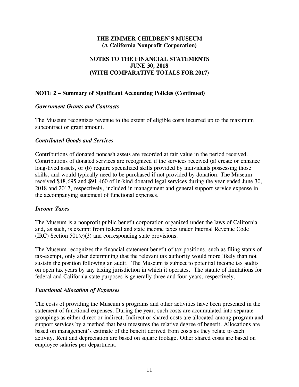# **NOTES TO THE FINANCIAL STATEMENTS JUNE 30, 2018 (WITH COMPARATIVE TOTALS FOR 2017)**

# **NOTE 2 – Summary of Significant Accounting Policies (Continued)**

#### *Government Grants and Contracts*

The Museum recognizes revenue to the extent of eligible costs incurred up to the maximum subcontract or grant amount.

#### *Contributed Goods and Services*

Contributions of donated noncash assets are recorded at fair value in the period received. Contributions of donated services are recognized if the services received (a) create or enhance long-lived assets, or (b) require specialized skills provided by individuals possessing those skills, and would typically need to be purchased if not provided by donation. The Museum received \$48,695 and \$91,460 of in-kind donated legal services during the year ended June 30, 2018 and 2017, respectively, included in management and general support service expense in the accompanying statement of functional expenses.

#### *Income Taxes*

The Museum is a nonprofit public benefit corporation organized under the laws of California and, as such, is exempt from federal and state income taxes under Internal Revenue Code (IRC) Section 501(c)(3) and corresponding state provisions.

The Museum recognizes the financial statement benefit of tax positions, such as filing status of tax-exempt, only after determining that the relevant tax authority would more likely than not sustain the position following an audit. The Museum is subject to potential income tax audits on open tax years by any taxing jurisdiction in which it operates. The statute of limitations for federal and California state purposes is generally three and four years, respectively.

#### *Functional Allocation of Expenses*

The costs of providing the Museum's programs and other activities have been presented in the statement of functional expenses. During the year, such costs are accumulated into separate groupings as either direct or indirect. Indirect or shared costs are allocated among program and support services by a method that best measures the relative degree of benefit. Allocations are based on management's estimate of the benefit derived from costs as they relate to each activity. Rent and depreciation are based on square footage. Other shared costs are based on employee salaries per department.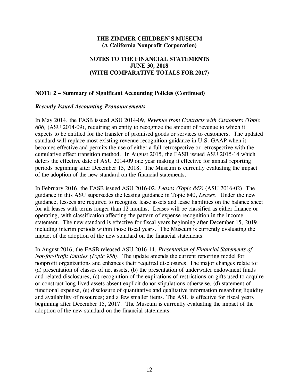# **NOTES TO THE FINANCIAL STATEMENTS JUNE 30, 2018 (WITH COMPARATIVE TOTALS FOR 2017)**

#### **NOTE 2 – Summary of Significant Accounting Policies (Continued)**

#### *Recently Issued Accounting Pronouncements*

In May 2014, the FASB issued ASU 2014-09, *Revenue from Contracts with Customers (Topic 606)* (ASU 2014-09), requiring an entity to recognize the amount of revenue to which it expects to be entitled for the transfer of promised goods or services to customers. The updated standard will replace most existing revenue recognition guidance in U.S. GAAP when it becomes effective and permits the use of either a full retrospective or retrospective with the cumulative effect transition method. In August 2015, the FASB issued ASU 2015-14 which defers the effective date of ASU 2014-09 one year making it effective for annual reporting periods beginning after December 15, 2018. The Museum is currently evaluating the impact of the adoption of the new standard on the financial statements.

In February 2016, the FASB issued ASU 2016-02, *Leases (Topic 842)* (ASU 2016-02). The guidance in this ASU supersedes the leasing guidance in Topic 840, *Leases*. Under the new guidance, lessees are required to recognize lease assets and lease liabilities on the balance sheet for all leases with terms longer than 12 months. Leases will be classified as either finance or operating, with classification affecting the pattern of expense recognition in the income statement. The new standard is effective for fiscal years beginning after December 15, 2019, including interim periods within those fiscal years. The Museum is currently evaluating the impact of the adoption of the new standard on the financial statements.

In August 2016, the FASB released ASU 2016-14, *Presentation of Financial Statements of Not-for-Profit Entities (Topic 958)*. The update amends the current reporting model for nonprofit organizations and enhances their required disclosures. The major changes relate to: (a) presentation of classes of net assets, (b) the presentation of underwater endowment funds and related disclosures, (c) recognition of the expirations of restrictions on gifts used to acquire or construct long-lived assets absent explicit donor stipulations otherwise, (d) statement of functional expense, (e) disclosure of quantitative and qualitative information regarding liquidity and availability of resources; and a few smaller items. The ASU is effective for fiscal years beginning after December 15, 2017. The Museum is currently evaluating the impact of the adoption of the new standard on the financial statements.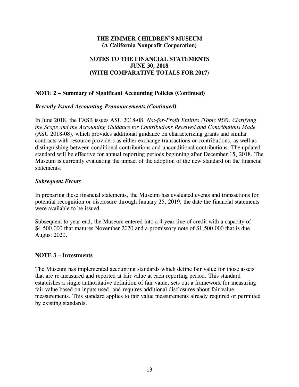# **NOTES TO THE FINANCIAL STATEMENTS JUNE 30, 2018 (WITH COMPARATIVE TOTALS FOR 2017)**

# **NOTE 2 – Summary of Significant Accounting Policies (Continued)**

#### *Recently Issued Accounting Pronouncements (Continued)*

In June 2018, the FASB issues ASU 2018-08, *Not-for-Profit Entities (Topic 958): Clarifying the Scope and the Accounting Guidance for Contributions Received and Contributions Made* (ASU 2018-08), which provides additional guidance on characterizing grants and similar contracts with resource providers as either exchange transactions or contributions, as well as distinguishing between conditional contributions and unconditional contributions. The updated standard will be effective for annual reporting periods beginning after December 15, 2018. The Museum is currently evaluating the impact of the adoption of the new standard on the financial statements.

#### *Subsequent Events*

In preparing these financial statements, the Museum has evaluated events and transactions for potential recognition or disclosure through January 25, 2019, the date the financial statements were available to be issued.

Subsequent to year-end, the Museum entered into a 4-year line of credit with a capacity of \$4,500,000 that matures November 2020 and a promissory note of \$1,500,000 that is due August 2020.

#### **NOTE 3 – Investments**

The Museum has implemented accounting standards which define fair value for those assets that are re-measured and reported at fair value at each reporting period. This standard establishes a single authoritative definition of fair value, sets out a framework for measuring fair value based on inputs used, and requires additional disclosures about fair value measurements. This standard applies to fair value measurements already required or permitted by existing standards.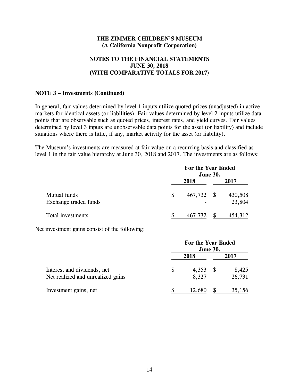# **NOTES TO THE FINANCIAL STATEMENTS JUNE 30, 2018 (WITH COMPARATIVE TOTALS FOR 2017)**

#### **NOTE 3 – Investments (Continued)**

In general, fair values determined by level 1 inputs utilize quoted prices (unadjusted) in active markets for identical assets (or liabilities). Fair values determined by level 2 inputs utilize data points that are observable such as quoted prices, interest rates, and yield curves. Fair values determined by level 3 inputs are unobservable data points for the asset (or liability) and include situations where there is little, if any, market activity for the asset (or liability).

The Museum's investments are measured at fair value on a recurring basis and classified as level 1 in the fair value hierarchy at June 30, 2018 and 2017. The investments are as follows:

|                                       | For the Year Ended<br><b>June 30,</b> |      |                   |  |  |  |  |
|---------------------------------------|---------------------------------------|------|-------------------|--|--|--|--|
|                                       | 2018                                  |      | 2017              |  |  |  |  |
| Mutual funds<br>Exchange traded funds | \$<br>467,732                         | - \$ | 430,508<br>23,804 |  |  |  |  |
| Total investments                     | 467,732                               |      | 454,312           |  |  |  |  |

Net investment gains consist of the following:

|                                   | For the Year Ended<br><b>June 30,</b> |        |  |        |  |  |  |
|-----------------------------------|---------------------------------------|--------|--|--------|--|--|--|
|                                   |                                       | 2018   |  | 2017   |  |  |  |
| Interest and dividends, net       |                                       | 4,353  |  | 8,425  |  |  |  |
| Net realized and unrealized gains |                                       | 8,327  |  | 26,731 |  |  |  |
| Investment gains, net             |                                       | 12,680 |  | 35,156 |  |  |  |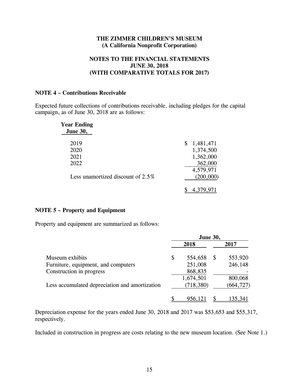# **NOTES TO THE FINANCIAL STATEMENTS JUNE 30, 2018 (WITH COMPARATIVE TOTALS FOR 2017)**

#### **NOTE 4 – Contributions Receivable**

Expected future collections of contributions receivable, including pledges for the capital campaign, as of June 30, 2018 are as follows:

| <b>Year Ending</b><br><b>June 30,</b> |                 |
|---------------------------------------|-----------------|
| 2019                                  | 1,481,471<br>\$ |
| 2020                                  | 1,374,500       |
| 2021                                  | 1,362,000       |
| 2022                                  | 362,000         |
|                                       | 4,579,971       |
| Less unamortized discount of $2.5\%$  | (200,000)       |
|                                       |                 |

#### **NOTE 5 – Property and Equipment**

Property and equipment are summarized as follows:

|                                                | <b>June 30,</b> |            |    |            |  |
|------------------------------------------------|-----------------|------------|----|------------|--|
|                                                |                 | 2018       |    | 2017       |  |
| Museum exhibits                                | \$              | 554,658    | -S | 553,920    |  |
| Furniture, equipment, and computers            |                 | 251,008    |    | 246,148    |  |
| Construction in progress                       |                 | 868,835    |    |            |  |
|                                                |                 | 1,674,501  |    | 800,068    |  |
| Less accumulated depreciation and amortization |                 | (718, 380) |    | (664, 727) |  |
|                                                |                 | 956,121    |    | 135,341    |  |

Depreciation expense for the years ended June 30, 2018 and 2017 was \$53,653 and \$55,317, respectively.

Included in construction in progress are costs relating to the new museum location. (See Note 1.)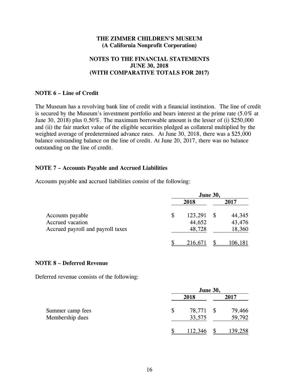# **NOTES TO THE FINANCIAL STATEMENTS JUNE 30, 2018 (WITH COMPARATIVE TOTALS FOR 2017)**

#### **NOTE 6 – Line of Credit**

The Museum has a revolving bank line of credit with a financial institution. The line of credit is secured by the Museum's investment portfolio and bears interest at the prime rate (5.0% at June 30, 2018) plus 0.50%. The maximum borrowable amount is the lesser of (i) \$250,000 and (ii) the fair market value of the eligible securities pledged as collateral multiplied by the weighted average of predetermined advance rates. At June 30, 2018, there was a \$25,000 balance outstanding balance on the line of credit. At June 20, 2017, there was no balance outstanding on the line of credit.

# **NOTE 7 – Accounts Payable and Accrued Liabilities**

Accounts payable and accrued liabilities consist of the following:

|                                   |      | <b>June 30,</b> |   |         |  |  |
|-----------------------------------|------|-----------------|---|---------|--|--|
|                                   | 2018 |                 |   | 2017    |  |  |
| Accounts payable                  | \$   | 123,291         | S | 44,345  |  |  |
| Accrued vacation                  |      | 44,652          |   | 43,476  |  |  |
| Accrued payroll and payroll taxes |      | 48,728          |   | 18,360  |  |  |
|                                   |      | 216,671         |   | 106,181 |  |  |

#### **NOTE 8 – Deferred Revenue**

Deferred revenue consists of the following:

|                                     | <b>June 30,</b>        |  |                  |  |  |
|-------------------------------------|------------------------|--|------------------|--|--|
|                                     | 2018                   |  | 2017             |  |  |
| Summer camp fees<br>Membership dues | \$<br>78,771<br>33,575 |  | 79,466<br>59,792 |  |  |
|                                     | 112,346                |  | <u>139,258</u>   |  |  |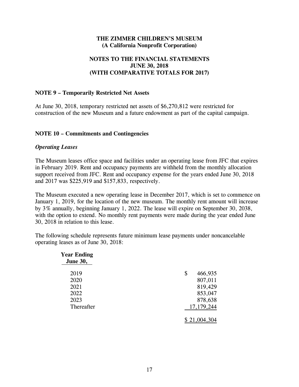# **NOTES TO THE FINANCIAL STATEMENTS JUNE 30, 2018 (WITH COMPARATIVE TOTALS FOR 2017)**

# **NOTE 9 – Temporarily Restricted Net Assets**

At June 30, 2018, temporary restricted net assets of \$6,270,812 were restricted for construction of the new Museum and a future endowment as part of the capital campaign.

#### **NOTE 10 – Commitments and Contingencies**

#### *Operating Leases*

The Museum leases office space and facilities under an operating lease from JFC that expires in February 2019. Rent and occupancy payments are withheld from the monthly allocation support received from JFC. Rent and occupancy expense for the years ended June 30, 2018 and 2017 was \$225,919 and \$157,833, respectively.

The Museum executed a new operating lease in December 2017, which is set to commence on January 1, 2019, for the location of the new museum. The monthly rent amount will increase by 3% annually, beginning January 1, 2022. The lease will expire on September 30, 2038, with the option to extend. No monthly rent payments were made during the year ended June 30, 2018 in relation to this lease.

The following schedule represents future minimum lease payments under noncancelable operating leases as of June 30, 2018:

| <b>Year Ending</b><br><b>June 30,</b> |               |
|---------------------------------------|---------------|
| 2019                                  | \$<br>466,935 |
| 2020                                  | 807,011       |
| 2021                                  | 819,429       |
| 2022                                  | 853,047       |
| 2023                                  | 878,638       |
| Thereafter                            | 17, 179, 244  |
|                                       | \$21,004,30   |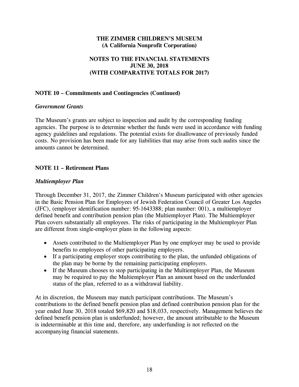# **NOTES TO THE FINANCIAL STATEMENTS JUNE 30, 2018 (WITH COMPARATIVE TOTALS FOR 2017)**

# **NOTE 10 – Commitments and Contingencies (Continued)**

#### *Government Grants*

The Museum's grants are subject to inspection and audit by the corresponding funding agencies. The purpose is to determine whether the funds were used in accordance with funding agency guidelines and regulations. The potential exists for disallowance of previously funded costs. No provision has been made for any liabilities that may arise from such audits since the amounts cannot be determined.

# **NOTE 11 – Retirement Plans**

#### *Multiemployer Plan*

Through December 31, 2017, the Zimmer Children's Museum participated with other agencies in the Basic Pension Plan for Employees of Jewish Federation Council of Greater Los Angeles (JFC), (employer identification number: 95-1643388; plan number: 001), a multiemployer defined benefit and contribution pension plan (the Multiemployer Plan). The Multiemployer Plan covers substantially all employees. The risks of participating in the Multiemployer Plan are different from single-employer plans in the following aspects:

- Assets contributed to the Multiemployer Plan by one employer may be used to provide benefits to employees of other participating employers.
- If a participating employer stops contributing to the plan, the unfunded obligations of the plan may be borne by the remaining participating employers.
- If the Museum chooses to stop participating in the Multiemployer Plan, the Museum may be required to pay the Multiemployer Plan an amount based on the underfunded status of the plan, referred to as a withdrawal liability.

At its discretion, the Museum may match participant contributions. The Museum's contributions to the defined benefit pension plan and defined contribution pension plan for the year ended June 30, 2018 totaled \$69,820 and \$18,033, respectively. Management believes the defined benefit pension plan is underfunded; however, the amount attributable to the Museum is indeterminable at this time and, therefore, any underfunding is not reflected on the accompanying financial statements.